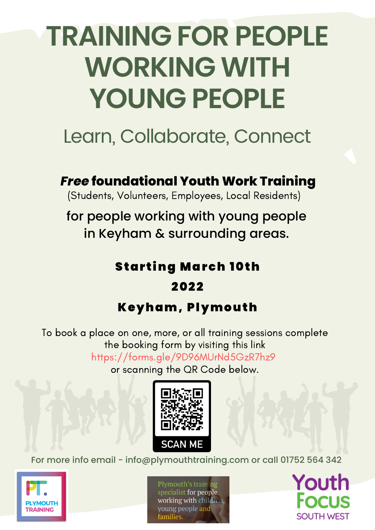# **TRAINING FOR PEOPLE WORKING WITH YOUNG PEOPLE**

# Learn, Collaborate, Connect

*Free* **foundational Youth Work Training**

(Students, Volunteers, Employees, Local Residents)

for people working with young people in Keyham & surrounding areas.

# **Starting March 10th**

### 2022

## Keyham, Plymouth

To book a place on one, more, or all training sessions complete the booking form by visiting this link https://forms.gle/9D96MUrNd5GzR7hz9

or scanning the QR Code below.



For more info email - info@plymouthtraining.com or call 01752 564 342



Plymouth's training specialist for people working with children, voung people and iamilies